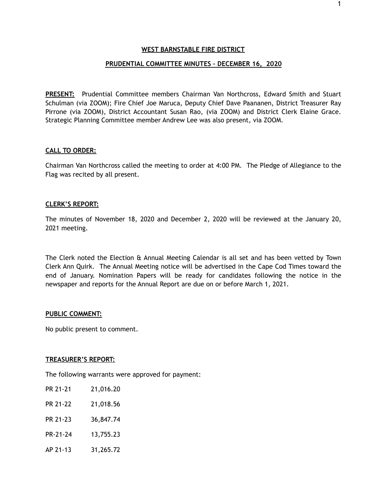## **PRUDENTIAL COMMITTEE MINUTES – DECEMBER 16, 2020**

**PRESENT:** Prudential Committee members Chairman Van Northcross, Edward Smith and Stuart Schulman (via ZOOM); Fire Chief Joe Maruca, Deputy Chief Dave Paananen, District Treasurer Ray Pirrone (via ZOOM), District Accountant Susan Rao, (via ZOOM) and District Clerk Elaine Grace. Strategic Planning Committee member Andrew Lee was also present, via ZOOM.

## **CALL TO ORDER:**

Chairman Van Northcross called the meeting to order at 4:00 PM. The Pledge of Allegiance to the Flag was recited by all present.

## **CLERK'S REPORT:**

The minutes of November 18, 2020 and December 2, 2020 will be reviewed at the January 20, 2021 meeting.

The Clerk noted the Election & Annual Meeting Calendar is all set and has been vetted by Town Clerk Ann Quirk. The Annual Meeting notice will be advertised in the Cape Cod Times toward the end of January. Nomination Papers will be ready for candidates following the notice in the newspaper and reports for the Annual Report are due on or before March 1, 2021.

### **PUBLIC COMMENT:**

No public present to comment.

### **TREASURER'S REPORT:**

The following warrants were approved for payment:

| PR 21-21 | 21,016.20 |
|----------|-----------|
| PR 21-22 | 21,018.56 |
| PR 21-23 | 36,847.74 |
| PR-21-24 | 13,755.23 |
| AP 21-13 | 31,265.72 |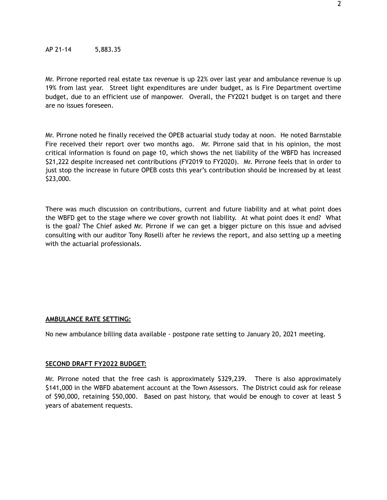Mr. Pirrone reported real estate tax revenue is up 22% over last year and ambulance revenue is up 19% from last year. Street light expenditures are under budget, as is Fire Department overtime budget, due to an efficient use of manpower. Overall, the FY2021 budget is on target and there are no issues foreseen.

Mr. Pirrone noted he finally received the OPEB actuarial study today at noon. He noted Barnstable Fire received their report over two months ago. Mr. Pirrone said that in his opinion, the most critical information is found on page 10, which shows the net liability of the WBFD has increased \$21,222 despite increased net contributions (FY2019 to FY2020). Mr. Pirrone feels that in order to just stop the increase in future OPEB costs this year's contribution should be increased by at least \$23,000.

There was much discussion on contributions, current and future liability and at what point does the WBFD get to the stage where we cover growth not liability. At what point does it end? What is the goal? The Chief asked Mr. Pirrone if we can get a bigger picture on this issue and advised consulting with our auditor Tony Roselli after he reviews the report, and also setting up a meeting with the actuarial professionals.

## **AMBULANCE RATE SETTING:**

No new ambulance billing data available - postpone rate setting to January 20, 2021 meeting.

#### **SECOND DRAFT FY2022 BUDGET:**

Mr. Pirrone noted that the free cash is approximately \$329,239. There is also approximately \$141,000 in the WBFD abatement account at the Town Assessors. The District could ask for release of \$90,000, retaining \$50,000. Based on past history, that would be enough to cover at least 5 years of abatement requests.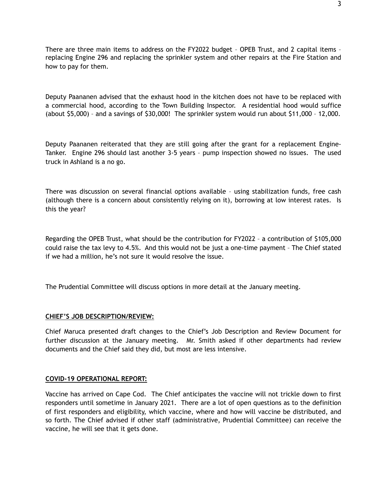There are three main items to address on the FY2022 budget – OPEB Trust, and 2 capital items – replacing Engine 296 and replacing the sprinkler system and other repairs at the Fire Station and how to pay for them.

Deputy Paananen advised that the exhaust hood in the kitchen does not have to be replaced with a commercial hood, according to the Town Building Inspector. A residential hood would suffice (about \$5,000) – and a savings of \$30,000! The sprinkler system would run about \$11,000 – 12,000.

Deputy Paananen reiterated that they are still going after the grant for a replacement Engine-Tanker. Engine 296 should last another 3-5 years – pump inspection showed no issues. The used truck in Ashland is a no go.

There was discussion on several financial options available – using stabilization funds, free cash (although there is a concern about consistently relying on it), borrowing at low interest rates. Is this the year?

Regarding the OPEB Trust, what should be the contribution for FY2022 – a contribution of \$105,000 could raise the tax levy to 4.5%. And this would not be just a one-time payment – The Chief stated if we had a million, he's not sure it would resolve the issue.

The Prudential Committee will discuss options in more detail at the January meeting.

## **CHIEF'S JOB DESCRIPTION/REVIEW:**

Chief Maruca presented draft changes to the Chief's Job Description and Review Document for further discussion at the January meeting. Mr. Smith asked if other departments had review documents and the Chief said they did, but most are less intensive.

## **COVID-19 OPERATIONAL REPORT:**

Vaccine has arrived on Cape Cod. The Chief anticipates the vaccine will not trickle down to first responders until sometime in January 2021. There are a lot of open questions as to the definition of first responders and eligibility, which vaccine, where and how will vaccine be distributed, and so forth. The Chief advised if other staff (administrative, Prudential Committee) can receive the vaccine, he will see that it gets done.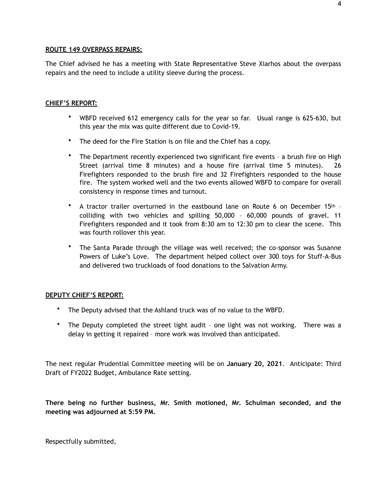## **ROUTE 149 OVERPASS REPAIRS:**

The Chief advised he has a meeting with State Representative Steve Xiarhos about the overpass repairs and the need to include a utility sleeve during the process.

## **CHIEF'S REPORT:**

- WBFD received 612 emergency calls for the year so far. Usual range is 625-630, but this year the mix was quite different due to Covid-19.
- The deed for the Fire Station is on file and the Chief has a copy.
- The Department recently experienced two significant fire events a brush fire on High Street (arrival time 8 minutes) and a house fire (arrival time 5 minutes). 26 Firefighters responded to the brush fire and 32 Firefighters responded to the house fire. The system worked well and the two events allowed WBFD to compare for overall consistency in response times and turnout.
- A tractor trailer overturned in the eastbound lane on Route 6 on December 15<sup>th</sup> colliding with two vehicles and spilling 50,000 – 60,000 pounds of gravel. 11 Firefighters responded and it took from 8:30 am to 12:30 pm to clear the scene. This was fourth rollover this year.
- The Santa Parade through the village was well received; the co-sponsor was Susanne Powers of Luke's Love. The department helped collect over 300 toys for Stuff-A-Bus and delivered two truckloads of food donations to the Salvation Army.

# **DEPUTY CHIEF'S REPORT:**

- The Deputy advised that the Ashland truck was of no value to the WBFD.
- The Deputy completed the street light audit one light was not working. There was a delay in getting it repaired – more work was involved than anticipated.

The next regular Prudential Committee meeting will be on **January 20, 2021**. Anticipate: Third Draft of FY2022 Budget, Ambulance Rate setting.

**There being no further business, Mr. Smith motioned, Mr. Schulman seconded, and the meeting was adjourned at 5:59 PM.** 

Respectfully submitted,